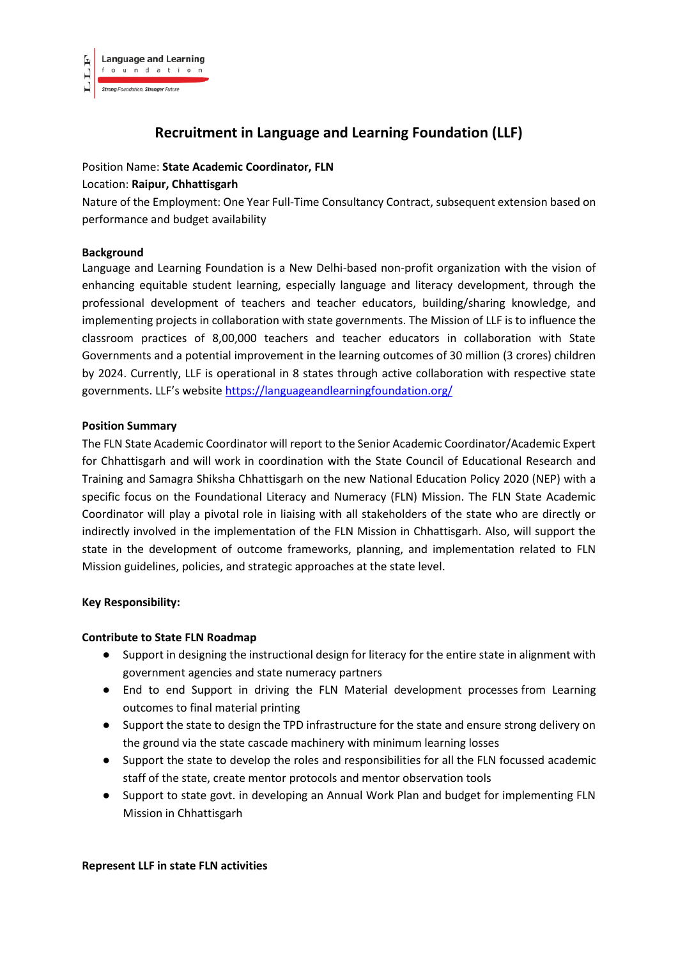

# **Recruitment in Language and Learning Foundation (LLF)**

### Position Name: **State Academic Coordinator, FLN**

#### Location: **Raipur, Chhattisgarh**

Nature of the Employment: One Year Full-Time Consultancy Contract, subsequent extension based on performance and budget availability

#### **Background**

Language and Learning Foundation is a New Delhi-based non-profit organization with the vision of enhancing equitable student learning, especially language and literacy development, through the professional development of teachers and teacher educators, building/sharing knowledge, and implementing projects in collaboration with state governments. The Mission of LLF is to influence the classroom practices of 8,00,000 teachers and teacher educators in collaboration with State Governments and a potential improvement in the learning outcomes of 30 million (3 crores) children by 2024. Currently, LLF is operational in 8 states through active collaboration with respective state governments. LLF's website <https://languageandlearningfoundation.org/>

#### **Position Summary**

The FLN State Academic Coordinator will report to the Senior Academic Coordinator/Academic Expert for Chhattisgarh and will work in coordination with the State Council of Educational Research and Training and Samagra Shiksha Chhattisgarh on the new National Education Policy 2020 (NEP) with a specific focus on the Foundational Literacy and Numeracy (FLN) Mission. The FLN State Academic Coordinator will play a pivotal role in liaising with all stakeholders of the state who are directly or indirectly involved in the implementation of the FLN Mission in Chhattisgarh. Also, will support the state in the development of outcome frameworks, planning, and implementation related to FLN Mission guidelines, policies, and strategic approaches at the state level.

## **Key Responsibility:**

#### **Contribute to State FLN Roadmap**

- Support in designing the instructional design for literacy for the entire state in alignment with government agencies and state numeracy partners
- End to end Support in driving the FLN Material development processes from Learning outcomes to final material printing
- Support the state to design the TPD infrastructure for the state and ensure strong delivery on the ground via the state cascade machinery with minimum learning losses
- Support the state to develop the roles and responsibilities for all the FLN focussed academic staff of the state, create mentor protocols and mentor observation tools
- Support to state govt. in developing an Annual Work Plan and budget for implementing FLN Mission in Chhattisgarh

#### **Represent LLF in state FLN activities**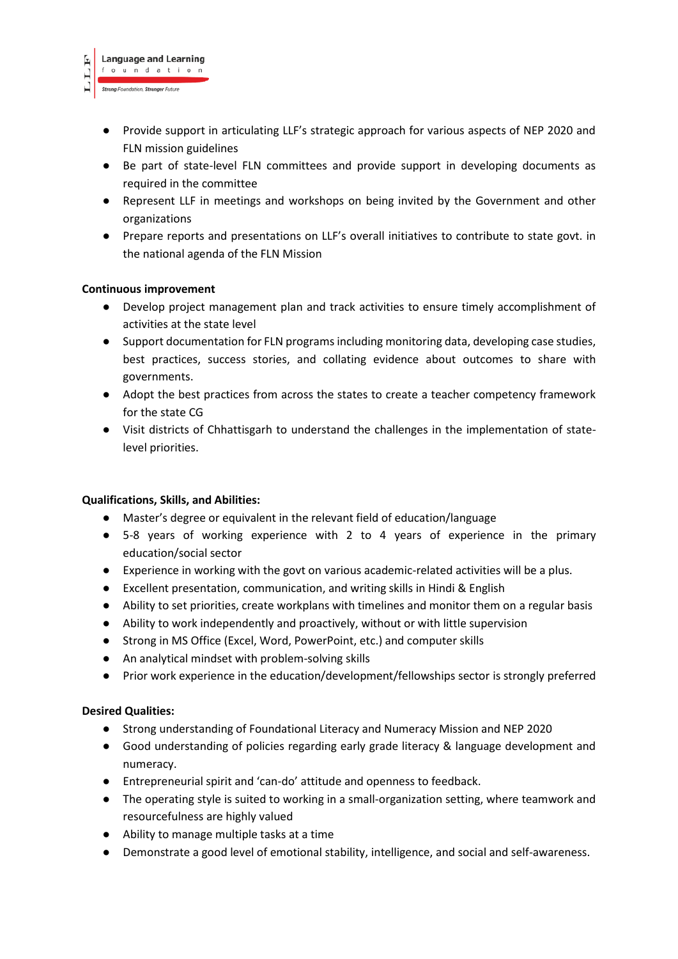**HTTT** 

- Provide support in articulating LLF's strategic approach for various aspects of NEP 2020 and FLN mission guidelines
- Be part of state-level FLN committees and provide support in developing documents as required in the committee
- Represent LLF in meetings and workshops on being invited by the Government and other organizations
- Prepare reports and presentations on LLF's overall initiatives to contribute to state govt. in the national agenda of the FLN Mission

## **Continuous improvement**

- Develop project management plan and track activities to ensure timely accomplishment of activities at the state level
- Support documentation for FLN programs including monitoring data, developing case studies, best practices, success stories, and collating evidence about outcomes to share with governments.
- Adopt the best practices from across the states to create a teacher competency framework for the state CG
- Visit districts of Chhattisgarh to understand the challenges in the implementation of statelevel priorities.

## **Qualifications, Skills, and Abilities:**

- Master's degree or equivalent in the relevant field of education/language
- 5-8 years of working experience with 2 to 4 years of experience in the primary education/social sector
- Experience in working with the govt on various academic-related activities will be a plus.
- Excellent presentation, communication, and writing skills in Hindi & English
- Ability to set priorities, create workplans with timelines and monitor them on a regular basis
- Ability to work independently and proactively, without or with little supervision
- Strong in MS Office (Excel, Word, PowerPoint, etc.) and computer skills
- An analytical mindset with problem-solving skills
- Prior work experience in the education/development/fellowships sector is strongly preferred

## **Desired Qualities:**

- Strong understanding of Foundational Literacy and Numeracy Mission and NEP 2020
- Good understanding of policies regarding early grade literacy & language development and numeracy.
- Entrepreneurial spirit and 'can-do' attitude and openness to feedback.
- The operating style is suited to working in a small-organization setting, where teamwork and resourcefulness are highly valued
- Ability to manage multiple tasks at a time
- Demonstrate a good level of emotional stability, intelligence, and social and self-awareness.